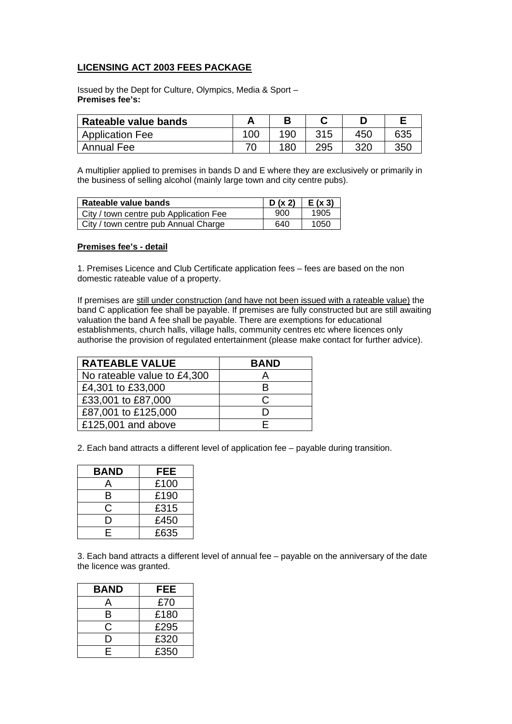## **LICENSING ACT 2003 FEES PACKAGE**

Issued by the Dept for Culture, Olympics, Media & Sport – **Premises fee's:** 

| Rateable value bands   |     |            |     |     |     |
|------------------------|-----|------------|-----|-----|-----|
| <b>Application Fee</b> | 100 | 190        | 315 | 450 | 635 |
| <b>Annual Fee</b>      |     | <b>180</b> | 295 | חרכ | 35C |

A multiplier applied to premises in bands D and E where they are exclusively or primarily in the business of selling alcohol (mainly large town and city centre pubs).

| Rateable value bands                   | $D(x 2)$   E(x 3) |      |
|----------------------------------------|-------------------|------|
| City / town centre pub Application Fee | 900               | 1905 |
| City / town centre pub Annual Charge   | 640               | 1050 |

## **Premises fee's - detail**

1. Premises Licence and Club Certificate application fees – fees are based on the non domestic rateable value of a property.

If premises are still under construction (and have not been issued with a rateable value) the band C application fee shall be payable. If premises are fully constructed but are still awaiting valuation the band A fee shall be payable. There are exemptions for educational establishments, church halls, village halls, community centres etc where licences only authorise the provision of regulated entertainment (please make contact for further advice).

| <b>RATEABLE VALUE</b>       | <b>BAND</b> |
|-----------------------------|-------------|
| No rateable value to £4,300 |             |
| £4,301 to £33,000           | R           |
| £33,001 to £87,000          | C           |
| £87,001 to £125,000         |             |
| £125,001 and above          |             |

2. Each band attracts a different level of application fee – payable during transition.

| <b>BAND</b> | FEE  |
|-------------|------|
| А           | £100 |
| в           | £190 |
| С           | £315 |
| I)          | £450 |
| E.          | £635 |

3. Each band attracts a different level of annual fee – payable on the anniversary of the date the licence was granted.

| <b>BAND</b> | FEE  |
|-------------|------|
| д           | £70  |
| B           | £180 |
| C           | £295 |
| נו          | £320 |
| Е           | £350 |